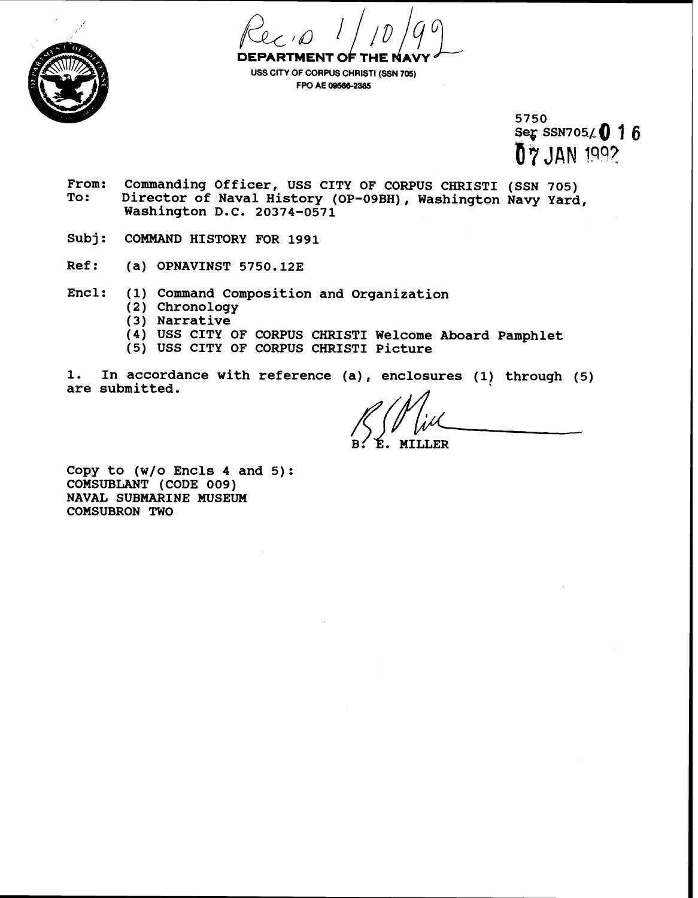



**USS CITY OF CORPUS CHRISTI (SSN 705) FPO AE 09568-2385** 

> 5750 Seg SSN705/0 16 07 JAN 1992

- From: Commanding Officer, USS CITY OF CORPUS CHRISTI (SSN 705)<br>To: Director of Naval History (OP-09BH), Washington Navy Vard **To: Director of Naval History (OP-09BH), Washington Navy Yard, Washington D.C. 20374-0571**
- Subj: COMMAND HISTORY FOR 1991
- **Ref: (a) OPNAVINST 5750.128**
- **Encl: (1) Command composition and Organization** 
	- **(2) Chronology**
	- **(3) Narrative**
	- **(4) USS CITY OF CORPUS CHRISTI Welcome Aboard Pamphlet**
	- **(5) USS CITY OF CORPUS CHRIST1 Picture**
- 1. In accordance with reference (a), enclosures (1) through (5) **are submitted.**

**MILLER** 

**Copy to (w/o Encls 4 and 5): COMSUBLANT (CODE 009) NAVAL SUBMARINE MUSEUM COMSUBRON TWO**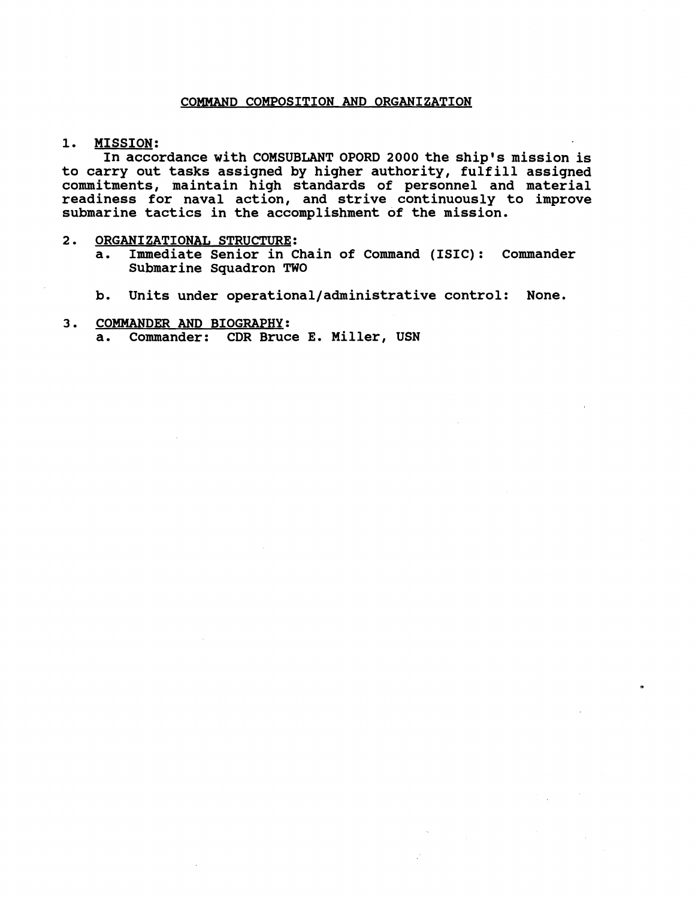# **COMMAND COMPOSITION AND ORGANIZATION**

## **1. MISSION:**

**In accordance with COMSUBLANT OPORD 2000 the ship's mission is to carry out tasks assigned by higher authority, fulfill assigned commitments, maintain high standards of personnel and material readiness for naval action, and strive continuously to improve submarine tactics in the accomplishment of the mission.** 

- **2. ORGANIZATIONAL STRUCTURE:** 
	- **a. Immediate Senior in Chain of Command (ISIC): Commander Submarine Squadron TWO**
	- **b. Units under operational/administrative control: None.**

# **3. COMMANDER AND BIOGRAPHY: a. Commander: CDR Bruce E. Miller, USN**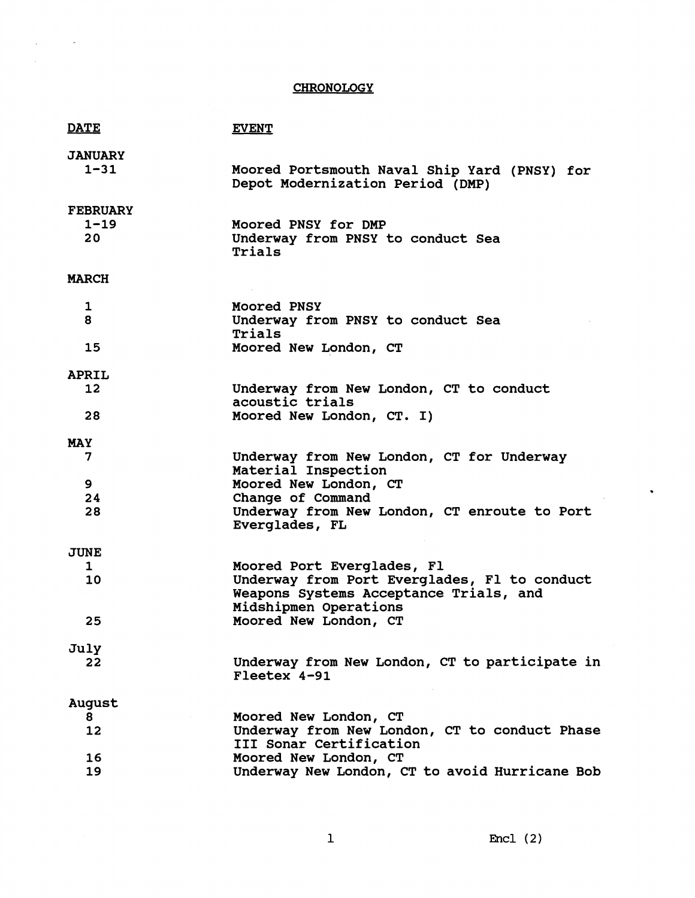# **CHRONOLOGY**

 $\label{eq:2.1} \frac{1}{2} \int_{\mathbb{R}^3} \frac{1}{\sqrt{2}} \, \frac{1}{\sqrt{2}} \, \frac{1}{\sqrt{2}} \, \frac{1}{\sqrt{2}} \, \frac{1}{\sqrt{2}} \, \frac{1}{\sqrt{2}} \, \frac{1}{\sqrt{2}} \, \frac{1}{\sqrt{2}} \, \frac{1}{\sqrt{2}} \, \frac{1}{\sqrt{2}} \, \frac{1}{\sqrt{2}} \, \frac{1}{\sqrt{2}} \, \frac{1}{\sqrt{2}} \, \frac{1}{\sqrt{2}} \, \frac{1}{\sqrt{2}} \, \frac{1}{\sqrt{2}} \,$ 

 $\hat{\mathcal{A}}$ 

| <b>DATE</b>     | <b>EVENT</b>                                                                                                    |
|-----------------|-----------------------------------------------------------------------------------------------------------------|
| <b>JANUARY</b>  |                                                                                                                 |
| $1 - 31$        | Moored Portsmouth Naval Ship Yard (PNSY) for<br>Depot Modernization Period (DMP)                                |
| <b>FEBRUARY</b> |                                                                                                                 |
| $1 - 19$        | Moored PNSY for DMP                                                                                             |
| 20              | Underway from PNSY to conduct Sea<br>Trials                                                                     |
| <b>MARCH</b>    |                                                                                                                 |
| 1               | <b>Moored PNSY</b>                                                                                              |
| 8               | Underway from PNSY to conduct Sea<br>Trials                                                                     |
| 15              | Moored New London, CT                                                                                           |
| <b>APRIL</b>    |                                                                                                                 |
| 12 <sup>°</sup> | Underway from New London, CT to conduct                                                                         |
| 28              | acoustic trials                                                                                                 |
|                 | Moored New London, CT. I)                                                                                       |
| <b>MAY</b>      |                                                                                                                 |
| 7               | Underway from New London, CT for Underway<br>Material Inspection                                                |
| 9               | Moored New London, CT                                                                                           |
| 24<br>28        | Change of Command<br>Underway from New London, CT enroute to Port                                               |
|                 | Everglades, FL                                                                                                  |
| <b>JUNE</b>     |                                                                                                                 |
| 1               | Moored Port Everglades, Fl                                                                                      |
| 10              | Underway from Port Everglades, Fl to conduct<br>Weapons Systems Acceptance Trials, and<br>Midshipmen Operations |
| 25              | Moored New London, CT                                                                                           |
| July            |                                                                                                                 |
| 22              | Underway from New London, CT to participate in<br>Fleetex 4-91                                                  |
| August          |                                                                                                                 |
| 8               | Moored New London, CT                                                                                           |
| 12              | Underway from New London, CT to conduct Phase<br>III Sonar Certification                                        |
| 16<br>19        | Moored New London, CT<br>Underway New London, CT to avoid Hurricane Bob                                         |
|                 |                                                                                                                 |

Encl  $(2)$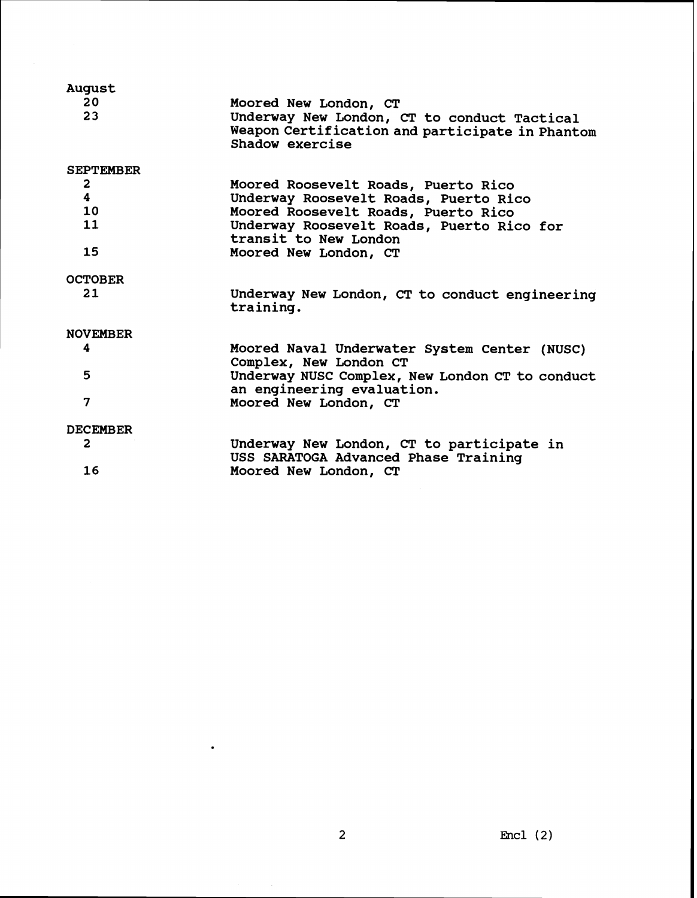| August                  |                                                                                                                   |
|-------------------------|-------------------------------------------------------------------------------------------------------------------|
| 20                      | Moored New London, CT                                                                                             |
| 23                      | Underway New London, CT to conduct Tactical<br>Weapon Certification and participate in Phantom<br>Shadow exercise |
| <b>SEPTEMBER</b>        |                                                                                                                   |
| $\mathbf{2}$            | Moored Roosevelt Roads, Puerto Rico                                                                               |
| $\overline{\mathbf{4}}$ | Underway Roosevelt Roads, Puerto Rico                                                                             |
| 10                      | Moored Roosevelt Roads, Puerto Rico                                                                               |
| 11                      | Underway Roosevelt Roads, Puerto Rico for<br>transit to New London                                                |
| 15                      | Moored New London, CT                                                                                             |
| <b>OCTOBER</b>          |                                                                                                                   |
| 21                      | Underway New London, CT to conduct engineering<br>training.                                                       |
| <b>NOVEMBER</b>         |                                                                                                                   |
| 4                       | Moored Naval Underwater System Center (NUSC)<br>Complex, New London CT                                            |
| 5                       | Underway NUSC Complex, New London CT to conduct                                                                   |
| $\overline{\mathbf{z}}$ | an engineering evaluation.<br>Moored New London, CT                                                               |
| <b>DECEMBER</b>         |                                                                                                                   |
| $\overline{2}$          | Underway New London, CT to participate in<br>USS SARATOGA Advanced Phase Training                                 |
| 16                      | Moored New London, CT                                                                                             |

 $\bullet$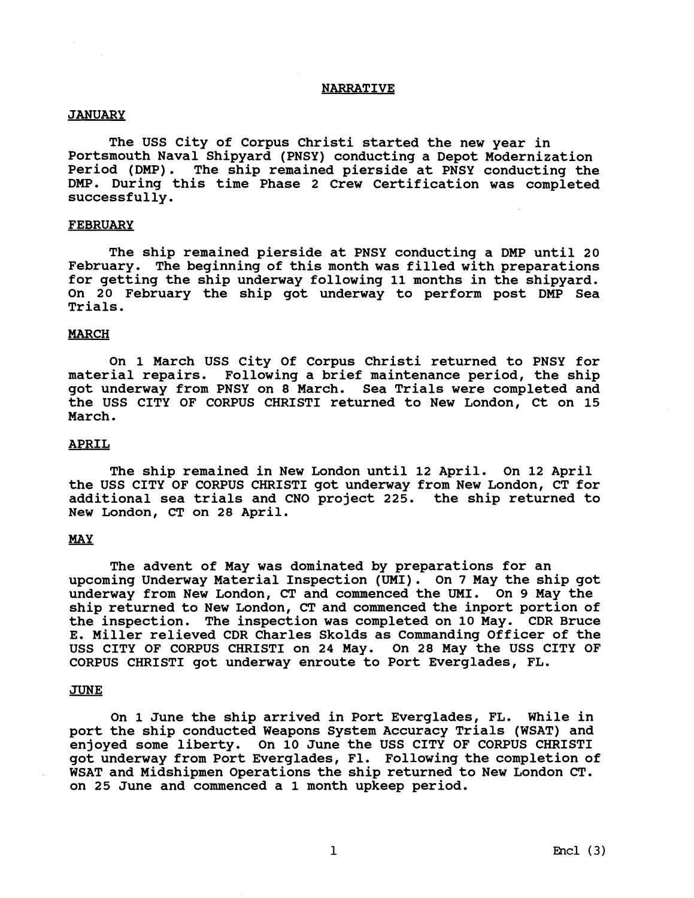## **NARRATIVE**

#### **JANUARY**

**The USS City of Corpus Christi started the new year in Portsmouth Naval Shipyard (PNSY) conducting a Depot Modernization Period (DMP). The ship remained pierside at PNSY conducting the DMP. During this time Phase 2 Crew Certification was completed successfully.** 

## **FEBRUARY**

**The ship remained pierside at PNSY conducting a DMP until 20 February. The beginning of this month was filled with preparations for getting the ship underway following 11 months in the shipyard. On 20 February the ship got underway to perform post DMP Sea Trials.** 

# **MARCH**

**On 1 March USS City Of Corpus Christi returned to PNSY for material repairs. Following a brief maintenance period, the ship got underway from PNSY on 8 March. Sea Trials were completed and the USS CITY OF CORPUS CHRIST1 returned to New London, Ct on 15 March.** 

# **APRIL**

**The ship remained in New London until 12 April. On 12 April the USS CITY OF CORPUS CHRIST1 got underway from New London, CT for additional sea trials and CNO project 225. the ship returned to New London, CT on 28 April.** 

## *MAY*

**The advent of May was dominated by preparations for an upcoming Underway Material Inspection (UMI)** . **On 7 May the ship got underway from New London, CT and commenced the UMI. On 9 May the ship returned to New London, CT and commenced the inport portion of the inspection. The inspection was completed on 10 May. CDR Bruce E. Miller relieved CDR Charles Skolds as Commanding Officer of the USS CITY OF CORPUS CHRIST1 on 24 May. On 28 May the USS CITY OF CORPUS CHRIST1 got underway enroute to Port Everglades, FL.** 

#### **JUNE**

**On 1 June the ship arrived in Port Everglades, FL. While in port the ship conducted Weapons System Accuracy Trials (WSAT) and enjoyed some liberty. On 10 June the USS CITY OF CORPUS CHRIST1 got underway from Port Everglades, F1. Following the completion of WSAT and Midshipmen Operations the ship returned to New London CT. on 25 June and commenced a 1 month upkeep period.**